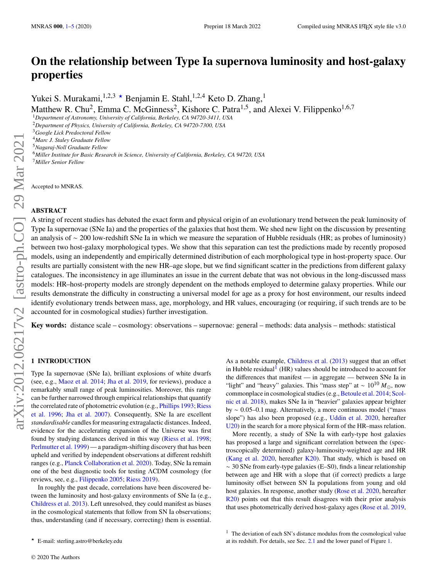# **On the relationship between Type Ia supernova luminosity and host-galaxy properties**

Yukei S. Murakami,<sup>1,2,3</sup>  $\star$  Benjamin E. Stahl,<sup>1,2,4</sup> Keto D. Zhang,<sup>1</sup>

Matthew R. Chu<sup>2</sup>, Emma C. McGinness<sup>2</sup>, Kishore C. Patra<sup>1,5</sup>, and Alexei V. Filippenko<sup>1,6,7</sup>

<sup>1</sup>*Department of Astronomy, University of California, Berkeley, CA 94720-3411, USA*

<sup>2</sup>*Department of Physics, University of California, Berkeley, CA 94720-7300, USA*

<sup>3</sup>*Google Lick Predoctoral Fellow*

<sup>4</sup>*Marc J. Staley Graduate Fellow*

<sup>5</sup>*Nagaraj-Noll Graduate Fellow*

<sup>6</sup>*Miller Institute for Basic Research in Science, University of California, Berkeley, CA 94720, USA*

<sup>7</sup>*Miller Senior Fellow*

Accepted to MNRAS.

## **ABSTRACT**

A string of recent studies has debated the exact form and physical origin of an evolutionary trend between the peak luminosity of Type Ia supernovae (SNe Ia) and the properties of the galaxies that host them. We shed new light on the discussion by presenting an analysis of ∼ 200 low-redshift SNe Ia in which we measure the separation of Hubble residuals (HR; as probes of luminosity) between two host-galaxy morphological types. We show that this separation can test the predictions made by recently proposed models, using an independently and empirically determined distribution of each morphological type in host-property space. Our results are partially consistent with the new HR–age slope, but we find significant scatter in the predictions from different galaxy catalogues. The inconsistency in age illuminates an issue in the current debate that was not obvious in the long-discussed mass models: HR–host-property models are strongly dependent on the methods employed to determine galaxy properties. While our results demonstrate the difficulty in constructing a universal model for age as a proxy for host environment, our results indeed identify evolutionary trends between mass, age, morphology, and HR values, encouraging (or requiring, if such trends are to be accounted for in cosmological studies) further investigation.

**Key words:** distance scale – cosmology: observations – supernovae: general – methods: data analysis – methods: statistical

## <span id="page-0-0"></span>**1 INTRODUCTION**

Type Ia supernovae (SNe Ia), brilliant explosions of white dwarfs (see, e.g., [Maoz et al.](#page-4-0) [2014;](#page-4-0) [Jha et al.](#page-4-1) [2019,](#page-4-1) for reviews), produce a remarkably small range of peak luminosities. Moreover, this range can be further narrowed through empirical relationships that quantify the correlated rate of photometric evolution (e.g., [Phillips](#page-4-2) [1993;](#page-4-2) [Riess](#page-4-3) [et al.](#page-4-3) [1996;](#page-4-3) [Jha et al.](#page-4-4) [2007\)](#page-4-4). Consequently, SNe Ia are excellent *standardisable* candles for measuring extragalactic distances. Indeed, evidence for the accelerating expansion of the Universe was first found by studying distances derived in this way [\(Riess et al.](#page-4-5) [1998;](#page-4-5) [Perlmutter et al.](#page-4-6) [1999\)](#page-4-6) — a paradigm-shifting discovery that has been upheld and verified by independent observations at different redshift ranges (e.g., [Planck Collaboration et al.](#page-4-7) [2020\)](#page-4-7). Today, SNe Ia remain one of the best diagnostic tools for testing ΛCDM cosmology (for reviews, see, e.g., [Filippenko](#page-4-8) [2005;](#page-4-8) [Riess](#page-4-9) [2019\)](#page-4-9).

In roughly the past decade, correlations have been discovered between the luminosity and host-galaxy environments of SNe Ia (e.g., [Childress et al.](#page-4-10) [2013\)](#page-4-10). Left unresolved, they could manifest as biases in the cosmological statements that follow from SN Ia observations; thus, understanding (and if necessary, correcting) them is essential.

★ E-mail: sterling.astro@berkeley.edu

As a notable example, [Childress et al.](#page-4-10) [\(2013\)](#page-4-10) suggest that an offset in Hubble residual<sup>[1](#page-0-1)</sup> (HR) values should be introduced to account for the differences that manifest — in aggregate — between SNe Ia in "light" and "heavy" galaxies. This "mass step" at ~  $10^{10} M_{\odot}$ , now commonplace in cosmological studies (e.g., [Betoule et al.](#page-4-11) [2014;](#page-4-11) [Scol](#page-4-12)[nic et al.](#page-4-12) [2018\)](#page-4-12), makes SNe Ia in "heavier" galaxies appear brighter by ∼ 0.05–0.1 mag. Alternatively, a more continuous model ("mass slope") has also been proposed (e.g., [Uddin et al.](#page-4-13) [2020,](#page-4-13) hereafter [U20\)](#page-4-13) in the search for a more physical form of the HR–mass relation.

More recently, a study of SNe Ia with early-type host galaxies has proposed a large and significant correlation between the (spectroscopically determined) galaxy-luminosity-weighted age and HR [\(Kang et al.](#page-4-14) [2020,](#page-4-14) hereafter [K20\)](#page-4-14). That study, which is based on ∼ 30 SNe from early-type galaxies (E–S0), finds a linear relationship between age and HR with a slope that (if correct) predicts a large luminosity offset between SN Ia populations from young and old host galaxies. In response, another study [\(Rose et al.](#page-4-15) [2020,](#page-4-15) hereafter [R20\)](#page-4-15) points out that this result disagrees with their prior analysis that uses photometrically derived host-galaxy ages [\(Rose et al.](#page-4-16) [2019,](#page-4-16)

<span id="page-0-1"></span> $1$  The deviation of each SN's distance modulus from the cosmological value at its redshift. For details, see Sec. [2.1](#page-1-0) and the lower panel of Figure [1.](#page-1-1)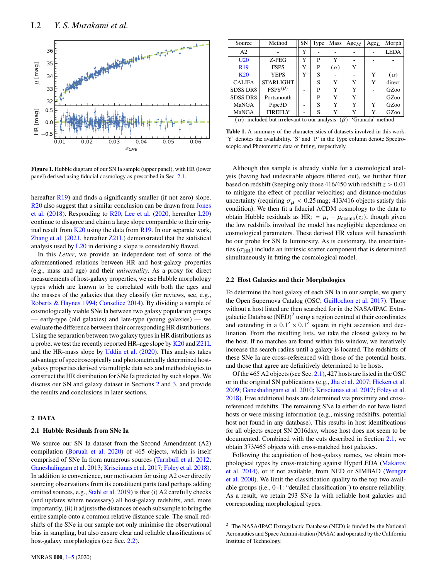

<span id="page-1-1"></span>**Figure 1.** Hubble diagram of our SN Ia sample (upper panel), with HR (lower panel) derived using fiducial cosmology as prescribed in Sec. [2.1.](#page-1-0)

hereafter  $R19$ ) and finds a significantly smaller (if not zero) slope. [R20](#page-4-15) also suggest that a similar conclusion can be drawn from [Jones](#page-4-17) [et al.](#page-4-17) [\(2018\)](#page-4-17). Responding to [R20,](#page-4-15) [Lee et al.](#page-4-18) [\(2020,](#page-4-18) hereafter [L20\)](#page-4-18) continue to disagree and claim a large slope comparable to their original result from  $K20$  using the data from  $R19$ . In our separate work, [Zhang et al.](#page-4-19) [\(2021,](#page-4-19) hereafter [Z21L\)](#page-4-19) demonstrated that the statistical analysis used by [L20](#page-4-18) in deriving a slope is considerably flawed.

In this *Letter*, we provide an independent test of some of the aforementioned relations between HR and host-galaxy properties (e.g., mass and age) and their *universality*. As a proxy for direct measurements of host-galaxy properties, we use Hubble morphology types which are known to be correlated with both the ages and the masses of the galaxies that they classify (for reviews, see, e.g., [Roberts & Haynes](#page-4-20) [1994;](#page-4-20) [Conselice](#page-4-21) [2014\)](#page-4-21). By dividing a sample of cosmologically viable SNe Ia between two galaxy population groups — early-type (old galaxies) and late-type (young galaxies) — we evaluate the difference between their corresponding HR distributions. Using the separation between two galaxy types in HR distributions as a probe, we test the recently reported HR–age slope by [K20](#page-4-14) and [Z21L](#page-4-19) and the HR–mass slope by [Uddin et al.](#page-4-13) [\(2020\)](#page-4-13). This analysis takes advantage of spectroscopically and photometrically determined hostgalaxy properties derived via multiple data sets and methodologies to construct the HR distribution for SNe Ia predicted by such slopes. We discuss our SN and galaxy dataset in Sections [2](#page-1-2) and [3,](#page-2-0) and provide the results and conclusions in later sections.

## <span id="page-1-2"></span>**2 DATA**

## <span id="page-1-0"></span>**2.1 Hubble Residuals from SNe Ia**

We source our SN Ia dataset from the Second Amendment (A2) compilation [\(Boruah et al.](#page-4-22) [2020\)](#page-4-22) of 465 objects, which is itself comprised of SNe Ia from numerous sources [\(Turnbull et al.](#page-4-23) [2012;](#page-4-23) [Ganeshalingam et al.](#page-4-24) [2013;](#page-4-24) [Krisciunas et al.](#page-4-25) [2017;](#page-4-25) [Foley et al.](#page-4-26) [2018\)](#page-4-26). In addition to convenience, our motivation for using A2 over directly sourcing observations from its constituent parts (and perhaps adding omitted sources, e.g., [Stahl et al.](#page-4-27) [2019\)](#page-4-27) is that (i) A2 carefully checks (and updates where necessary) all host-galaxy redshifts, and, more importantly, (ii) it adjusts the distances of each subsample to bring the entire sample onto a common relative distance scale. The small redshifts of the SNe in our sample not only minimise the observational bias in sampling, but also ensure clear and reliable classifications of host-galaxy morphologies (see Sec. [2.2\)](#page-1-3).

| Source                                                                               | Method           | <b>SN</b> | Type | Mass       | AgeM | Age <sub>L</sub> | Morph       |
|--------------------------------------------------------------------------------------|------------------|-----------|------|------------|------|------------------|-------------|
| A2                                                                                   |                  | Y         |      |            |      |                  | <b>LEDA</b> |
| U20                                                                                  | Z-PEG            | Y         | P    | Y          |      |                  |             |
| R <sub>19</sub>                                                                      | <b>FSPS</b>      | Y         | P    | $(\alpha)$ | Y    |                  |             |
| <b>K20</b>                                                                           | <b>YEPS</b>      | Y         | S    |            |      | Y                | $(\alpha)$  |
| <b>CALIFA</b>                                                                        | <b>STARLIGHT</b> |           | S    | Y          | Y    | Y                | direct      |
| <b>SDSS DR8</b>                                                                      | $FSPS^{(\beta)}$ |           | P    | Y          | Y    |                  | GZoo        |
| <b>SDSS DR8</b>                                                                      | Portsmouth       |           | P    | Y          | Y    |                  | GZoo        |
| MaNGA                                                                                | Pipe3D           |           | S    | Y          | Y    | Y                | GZoo        |
| MaNGA                                                                                | <b>FIREFLY</b>   |           | S    | Y          | Y    | Y                | GZoo        |
| $(\alpha)$ : included but irrelevant to our analysis. ( $\beta$ ): 'Granada' method. |                  |           |      |            |      |                  |             |

**Table 1.** A summary of the characteristics of datasets involved in this work. 'Y' denotes the availability. 'S' and 'P' in the Type column denote Spectroscopic and Photometric data or fitting, respectively.

Although this sample is already viable for a cosmological analysis (having had undesirable objects filtered out), we further filter based on redshift (keeping only those 416/450 with redshift  $z > 0.01$ to mitigate the effect of peculiar velocities) and distance-modulus uncertainty (requiring  $\sigma_{\mu}$  < 0.25 mag; 413/416 objects satisfy this condition). We then fit a fiducial ΛCDM cosmology to the data to obtain Hubble residuals as HR<sub>i</sub> =  $\mu_i - \mu_{\text{cosmo}}(z_i)$ , though given the low redshifts involved the model has negligible dependence on cosmological parameters. These derived HR values will henceforth be our probe for SN Ia luminosity. As is customary, the uncertainties ( $\sigma_{HR}$ ) include an intrinsic scatter component that is determined simultaneously in fitting the cosmological model.

## <span id="page-1-3"></span>**2.2 Host Galaxies and their Morphologies**

To determine the host galaxy of each SN Ia in our sample, we query the Open Supernova Catalog (OSC; [Guillochon et al.](#page-4-28) [2017\)](#page-4-28). Those without a host listed are then searched for in the NASA/IPAC Extragalactic Database  $(NED)^2$  $(NED)^2$  using a region centred at their coordinates and extending in a  $0.1' \times 0.1'$  square in right ascension and declination. From the resulting lists, we take the closest galaxy to be the host. If no matches are found within this window, we iteratively increase the search radius until a galaxy is located. The redshifts of these SNe Ia are cross-referenced with those of the potential hosts, and those that agree are definitively determined to be hosts.

Of the 465 A2 objects (see Sec. [2.1\)](#page-1-0), 427 hosts are listed in the OSC or in the original SN publications (e.g., [Jha et al.](#page-4-4) [2007;](#page-4-4) [Hicken et al.](#page-4-29) [2009;](#page-4-29) [Ganeshalingam et al.](#page-4-30) [2010;](#page-4-30) [Krisciunas et al.](#page-4-25) [2017;](#page-4-25) [Foley et al.](#page-4-26) [2018\)](#page-4-26). Five additional hosts are determined via proximity and crossreferenced redshifts. The remaining SNe Ia either do not have listed hosts or were missing information (e.g., missing redshifts, potential host not found in any database). This results in host identifications for all objects except SN 2016dxv, whose host does not seem to be documented. Combined with the cuts described in Section [2.1,](#page-1-0) we obtain 373/465 objects with cross-matched host galaxies.

Following the acquisition of host-galaxy names, we obtain morphological types by cross-matching against HyperLEDA [\(Makarov](#page-4-31) [et al.](#page-4-31) [2014\)](#page-4-31), or if not available, from NED or SIMBAD [\(Wenger](#page-4-32) [et al.](#page-4-32) [2000\)](#page-4-32). We limit the classification quality to the top two available groups (i.e., 0–1: "detailed classification") to ensure reliability. As a result, we retain 293 SNe Ia with reliable host galaxies and corresponding morphological types.

<span id="page-1-4"></span><sup>2</sup> The NASA/IPAC Extragalactic Database (NED) is funded by the National Aeronautics and Space Administration (NASA) and operated by the California Institute of Technology.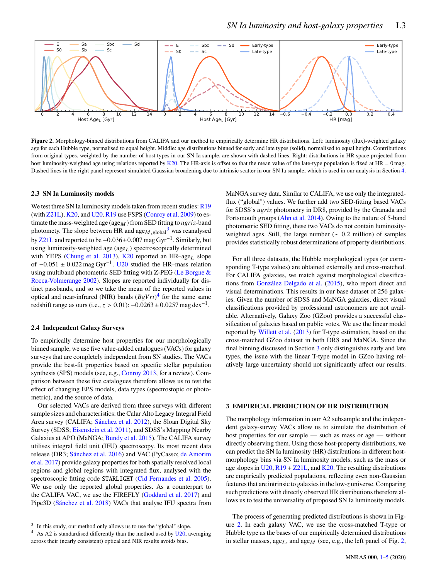

**Figure 2.** Morphology-binned distributions from CALIFA and our method to empirically determine HR distributions. Left: luminosity (flux)-weighted galaxy age for each Hubble type, normalised to equal height. Middle: age distributions binned for early and late types (solid), normalised to equal height. Contributions from original types, weighted by the number of host types in our SN Ia sample, are shown with dashed lines. Right: distributions in HR space projected from host luminosity-weighted age using relations reported by [K20.](#page-4-14) The HR-axis is offset so that the mean value of the late-type population is fixed at HR = 0 mag. Dashed lines in the right panel represent simulated Gaussian broadening due to intrinsic scatter in our SN Ia sample, which is used in our analysis in Section [4.](#page-3-1)

## **2.3 SN Ia Luminosity models**

We test three SN Ia luminosity models taken from recent studies:  $R19$ (with [Z21L\)](#page-4-19), [K20,](#page-4-14) and [U20.](#page-4-13) [R19](#page-4-16) use FSPS [\(Conroy et al.](#page-4-33) [2009\)](#page-4-33) to estimate the mass-weighted age (age $_M$ ) from SED fitting to  $ugriz$ -band photomety. The slope between HR and  $\mathrm{age}_{M,\mathrm{global}}^3$  $\mathrm{age}_{M,\mathrm{global}}^3$  was reanalysed by [Z21L](#page-4-19) and reported to be −0.036±0.007 mag Gyr−<sup>1</sup> . Similarly, but using luminosity-weighted age (age<sub>L</sub>) spectroscopically determined with YEPS [\(Chung et al.](#page-4-34) [2013\)](#page-4-34), [K20](#page-4-14) reported an HR-age $_L$  slope of  $-0.051 \pm 0.022$  mag Gyr<sup>-1</sup>. [U20](#page-4-13) studied the HR-mass relation using multiband photometric SED fitting with Z-PEG [\(Le Borgne &](#page-4-35) [Rocca-Volmerange](#page-4-35) [2002\)](#page-4-35). Slopes are reported individually for distinct passbands, and so we take the mean of the reported values in optical and near-infrared (NIR) bands  $(BgVri)^4$  $(BgVri)^4$  for the same same redshift range as ours (i.e.,  $z > 0.01$ ):  $-0.0263 \pm 0.0257$  mag dex<sup>-1</sup>.

#### **2.4 Independent Galaxy Surveys**

To empirically determine host properties for our morphologically binned sample, we use five value-added catalogues (VACs) for galaxy surveys that are completely independent from SN studies. The VACs provide the best-fit properties based on specific stellar population synthesis (SPS) models (see, e.g., [Conroy](#page-4-36) [2013,](#page-4-36) for a review). Comparison between these five catalogues therefore allows us to test the effect of changing EPS models, data types (spectrostopic or photometric), and the source of data.

Our selected VACs are derived from three surveys with different sample sizes and characteristics: the Calar Alto Legacy Integral Field Area survey (CALIFA; [Sánchez et al.](#page-4-37) [2012\)](#page-4-37), the Sloan Digital Sky Survey (SDSS; [Eisenstein et al.](#page-4-38) [2011\)](#page-4-38), and SDSS's Mapping Nearby Galaxies at APO (MaNGA; [Bundy et al.](#page-4-39) [2015\)](#page-4-39). The CALIFA survey utilises integral field unit (IFU) spectroscopy. Its most recent data release (DR3; [Sánchez et al.](#page-4-40) [2016\)](#page-4-40) and VAC (PyCasso; [de Amorim](#page-4-41) [et al.](#page-4-41) [2017\)](#page-4-41) provide galaxy properties for both spatially resolved local regions and global regions with integrated flux, analysed with the spectroscopic fitting code STARLIGHT [\(Cid Fernandes et al.](#page-4-42) [2005\)](#page-4-42). We use only the reported global properties. As a counterpart to the CALIFA VAC, we use the FIREFLY [\(Goddard et al.](#page-4-43) [2017\)](#page-4-43) and Pipe3D [\(Sánchez et al.](#page-4-44) [2018\)](#page-4-44) VACs that analyse IFU spectra from <span id="page-2-3"></span>MaNGA survey data. Similar to CALIFA, we use only the integratedflux ("global") values. We further add two SED-fitting based VACs for SDSS's *ugriz* photometry in DR8, provided by the Granada and Portsmouth groups [\(Ahn et al.](#page-4-45) [2014\)](#page-4-45). Owing to the nature of 5-band photometric SED fitting, these two VACs do not contain luminosityweighted ages. Still, the large number (∼ 0.2 million) of samples provides statistically robust determinations of property distributions.

For all three datasets, the Hubble morphological types (or corresponding T-type values) are obtained externally and cross-matched. For CALIFA galaxies, we match against morphological classifications from [González Delgado et al.](#page-4-46) [\(2015\)](#page-4-46), who report direct and visual determinations. This results in our base dataset of 256 galaxies. Given the number of SDSS and MaNGA galaxies, direct visual classifications provided by professional astronomers are not available. Alternatively, Galaxy Zoo (GZoo) provides a successful classification of galaxies based on public votes. We use the linear model reported by [Willett et al.](#page-4-47) [\(2013\)](#page-4-47) for T-type estimation, based on the cross-matched GZoo dataset in both DR8 and MaNGA. Since the final binning discussed in Section [3](#page-2-0) only distinguishes early and late types, the issue with the linear T-type model in GZoo having relatively large uncertainty should not significantly affect our results.

## <span id="page-2-0"></span>**3 EMPIRICAL PREDICTION OF HR DISTRIBUTION**

The morphology information in our A2 subsample and the independent galaxy-survey VACs allow us to simulate the distribution of host properties for our sample — such as mass or age — without directly observing them. Using those host-property distributions, we can predict the SN Ia luminosity (HR) distributions in different hostmorphology bins via SN Ia luminosity models, such as the mass or age slopes in  $U(20, R19 + Z21L)$  $U(20, R19 + Z21L)$  $U(20, R19 + Z21L)$ , and  $K(20, R1)$  The resulting distributions are empirically predicted populations, reflecting even non-Gaussian features that are intrinsic to galaxies in the low-z universe. Comparing such predictions with directly observed HR distributions therefore allows us to test the universality of proposed SN Ia luminosity models.

The process of generating predicted distributions is shown in Figure [2.](#page-2-3) In each galaxy VAC, we use the cross-matched T-type or Hubble type as the bases of our empirically determined distributions in stellar masses,  $age_L$ , and  $age_M$  (see, e.g., the left panel of Fig. [2,](#page-2-3)

<span id="page-2-1"></span><sup>&</sup>lt;sup>3</sup> In this study, our method only allows us to use the "global" slope.

<span id="page-2-2"></span> $4$  As A2 is standardised differently than the method used by [U20,](#page-4-13) averaging across their (nearly consistent) optical and NIR results avoids bias.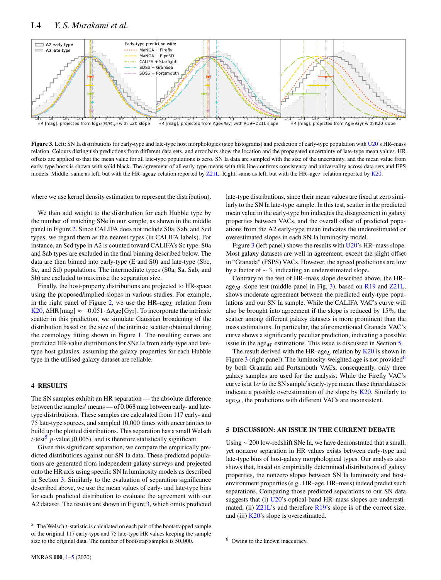

**Figure 3.** Left: SN Ia distributions for early-type and late-type host morphologies (step histograms) and prediction of early-type population with [U20'](#page-4-13)s HR–mass relation. Colours distinguish predictions from different data sets, and error bars show the location and the propagated uncertainty of late-type mean values. HR offsets are applied so that the mean value for all late-type populations is zero. SN Ia data are sampled with the size of the uncertainty, and the mean value from early-type hosts is shown with solid black. The agreement of all early-type means with this line confirms consistency and universality across data sets and EPS models. Middle: same as left, but with the HR–age  $_M$  relation reported by [Z21L.](#page-4-19) Right: same as left, but with the HR–age  $_L$  relation reported by [K20.](#page-4-14)

where we use kernel density estimation to represent the distribution).

We then add weight to the distribution for each Hubble type by the number of matching SNe in our sample, as shown in the middle panel in Figure [2.](#page-2-3) Since CALIFA does not include S0a, Sab, and Scd types, we regard them as the nearest types (in CALIFA labels). For instance, an Scd type in A2 is counted toward CALIFA's Sc type. S0a and Sab types are excluded in the final binning described below. The data are then binned into early-type (E and S0) and late-type (Sbc, Sc, and Sd) populations. The intermediate types (S0a, Sa, Sab, and Sb) are excluded to maximise the separation size.

Finally, the host-property distributions are projected to HR-space using the proposed/implied slopes in various studies. For example, in the right panel of Figure [2,](#page-2-3) we use the  $HR\text{-age}_L$  relation from [K20,](#page-4-14)  $\Delta HR$ [mag]  $\approx -0.051 \cdot \Delta Age$ [Gyr]. To incorporate the intrinsic scatter in this prediction, we simulate Gaussian broadening of the distribution based on the size of the intrinsic scatter obtained during the cosmology fitting shown in Figure [1.](#page-1-1) The resulting curves are predicted HR-value distributions for SNe Ia from early-type and latetype host galaxies, assuming the galaxy properties for each Hubble type in the utilised galaxy dataset are reliable.

## <span id="page-3-1"></span>**4 RESULTS**

The SN samples exhibit an HR separation — the absolute difference between the samples' means — of 0.068 mag between early- and latetype distributions. These samples are calculated from 117 early- and 75 late-type sources, and sampled 10,000 times with uncertainties to build up the plotted distributions. This separation has a small Welsch t-test<sup>[5](#page-3-2)</sup> p-value (0.005), and is therefore statistically significant.

Given this significant separation, we compare the empirically predicted distributions against our SN Ia data. These predicted populations are generated from independent galaxy surveys and projected onto the HR axis using specific SN Ia luminosity models as described in Section [3.](#page-2-0) Similarly to the evaluation of separation significance described above, we use the mean values of early- and late-type bins for each predicted distribution to evaluate the agreement with our A2 dataset. The results are shown in Figure [3,](#page-3-3) which omits predicted <span id="page-3-3"></span>late-type distributions, since their mean values are fixed at zero similarly to the SN Ia late-type sample. In this test, scatter in the predicted mean value in the early-type bin indicates the disagreement in galaxy properties between VACs, and the overall offset of predicted popuations from the A2 early-type mean indicates the underestimated or overestimated slopes in each SN Ia luminosity model.

Figure [3](#page-3-3) (left panel) shows the results with [U20'](#page-4-13)s HR–mass slope. Most galaxy datasets are well in agreement, except the slight offset in "Granada" (FSPS) VACs. However, the agreed predictions are low by a factor of ∼ 3, indicating an underestimated slope.

Contrary to the test of HR–mass slope described above, the HR– age  $M$  slope test (middle panel in Fig. [3\)](#page-3-3), based on [R19](#page-4-16) and [Z21L,](#page-4-19) shows moderate agreement between the predicted early-type populations and our SN Ia sample. While the CALIFA VAC's curve will also be brought into agreement if the slope is reduced by 15%, the scatter among different galaxy datasets is more prominent than the mass estimations. In particular, the aforementioned Granada VAC's curve shows a significantly peculiar prediction, indicating a possible issue in the age  $\mu$  estimations. This issue is discussed in Section [5.](#page-3-0)

The result derived with the HR–age<sub>L</sub> relation by  $K20$  is shown in Figure [3](#page-3-3) (right panel). The luminosity-weighted age is not provided<sup>[6](#page-3-4)</sup> by both Granada and Portsmouth VACs; consequently, only three galaxy samples are used for the analysis. While the Firefly VAC's curve is at  $1\sigma$  to the SN sample's early-type mean, these three datasets indicate a possible overestimation of the slope by  $K20$ . Similarly to  $age_M$ , the predictions with different VACs are inconsistent.

## <span id="page-3-0"></span>**5 DISCUSSION: AN ISSUE IN THE CURRENT DEBATE**

Using ∼ 200 low-redshift SNe Ia, we have demonstrated that a small, yet nonzero separation in HR values exists between early-type and late-type bins of host-galaxy morphological types. Our analysis also shows that, based on empirically determined distributions of galaxy properties, the nonzero slopes between SN Ia luminosity and hostenvironment properties (e.g., HR–age, HR–mass) indeed predict such separations. Comparing those predicted separations to our SN data suggests that (i) [U20'](#page-4-13)s optical-band HR–mass slopes are underestimated, (ii)  $Z21L$ 's and therefore  $R19$ 's slope is of the correct size, and (iii)  $K20$ 's slope is overestimated.

<span id="page-3-4"></span><sup>6</sup> Owing to the known inaccuracy.

<span id="page-3-2"></span> $5$  The Welsch  $t$ -statistic is calculated on each pair of the bootstrapped sample of the original 117 early-type and 75 late-type HR values keeping the sample size to the original data. The number of bootstrap samples is 50,000.